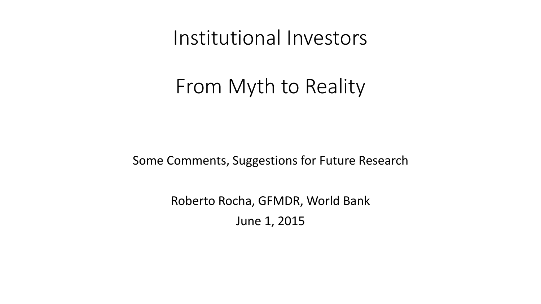Institutional Investors

# From Myth to Reality

Some Comments, Suggestions for Future Research

Roberto Rocha, GFMDR, World Bank June 1, 2015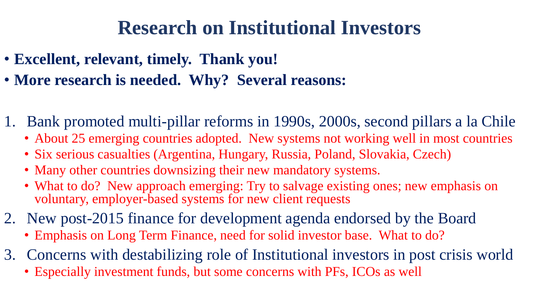# **Research on Institutional Investors**

- **Excellent, relevant, timely. Thank you!**
- **More research is needed. Why? Several reasons:**
- 1. Bank promoted multi-pillar reforms in 1990s, 2000s, second pillars a la Chile
	- About 25 emerging countries adopted. New systems not working well in most countries
	- Six serious casualties (Argentina, Hungary, Russia, Poland, Slovakia, Czech)
	- Many other countries downsizing their new mandatory systems.
	- What to do? New approach emerging: Try to salvage existing ones; new emphasis on voluntary, employer-based systems for new client requests
- 2. New post-2015 finance for development agenda endorsed by the Board
	- Emphasis on Long Term Finance, need for solid investor base. What to do?
- 3. Concerns with destabilizing role of Institutional investors in post crisis world
	- Especially investment funds, but some concerns with PFs, ICOs as well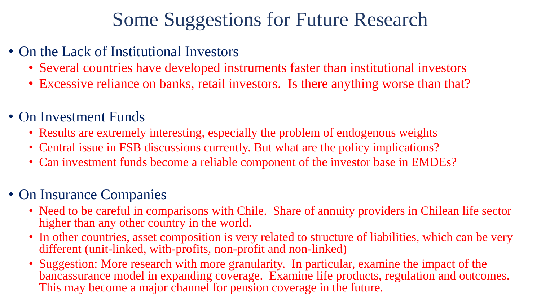# Some Suggestions for Future Research

- On the Lack of Institutional Investors
	- Several countries have developed instruments faster than institutional investors
	- Excessive reliance on banks, retail investors. Is there anything worse than that?
- On Investment Funds
	- Results are extremely interesting, especially the problem of endogenous weights
	- Central issue in FSB discussions currently. But what are the policy implications?
	- Can investment funds become a reliable component of the investor base in EMDEs?

### • On Insurance Companies

- Need to be careful in comparisons with Chile. Share of annuity providers in Chilean life sector higher than any other country in the world.
- In other countries, asset composition is very related to structure of liabilities, which can be very different (unit-linked, with-profits, non-profit and non-linked)
- Suggestion: More research with more granularity. In particular, examine the impact of the bancassurance model in expanding coverage. Examine life products, regulation and outcomes. This may become a major channel for pension coverage in the future.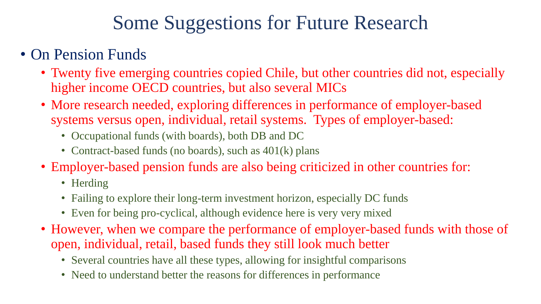# Some Suggestions for Future Research

### • On Pension Funds

- Twenty five emerging countries copied Chile, but other countries did not, especially higher income OECD countries, but also several MICs
- More research needed, exploring differences in performance of employer-based systems versus open, individual, retail systems. Types of employer-based:
	- Occupational funds (with boards), both DB and DC
	- Contract-based funds (no boards), such as  $401(k)$  plans
- Employer-based pension funds are also being criticized in other countries for:
	- Herding
	- Failing to explore their long-term investment horizon, especially DC funds
	- Even for being pro-cyclical, although evidence here is very very mixed
- However, when we compare the performance of employer-based funds with those of open, individual, retail, based funds they still look much better
	- Several countries have all these types, allowing for insightful comparisons
	- Need to understand better the reasons for differences in performance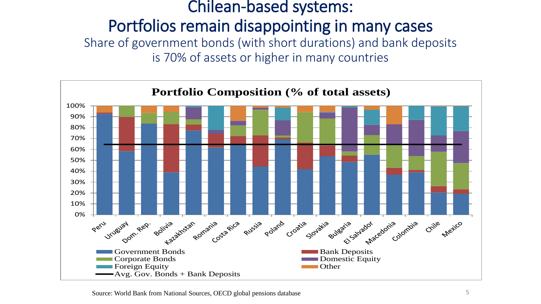### Chilean-based systems: Portfolios remain disappointing in many cases Share of government bonds (with short durations) and bank deposits is 70% of assets or higher in many countries

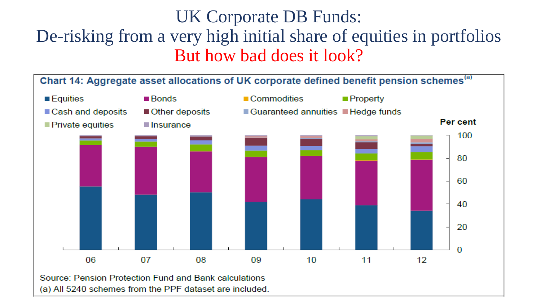## UK Corporate DB Funds: De-risking from a very high initial share of equities in portfolios But how bad does it look?

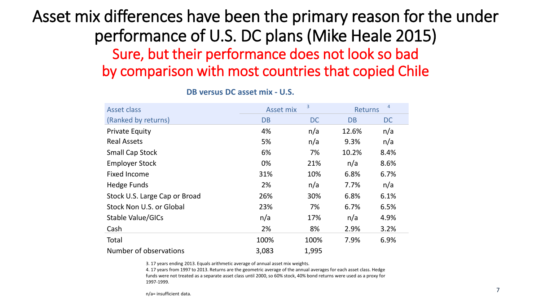## Asset mix differences have been the primary reason for the under performance of U.S. DC plans (Mike Heale 2015) Sure, but their performance does not look so bad by comparison with most countries that copied Chile

| <b>Asset class</b>            | 3<br><b>Asset mix</b> |           | $\overline{4}$<br><b>Returns</b> |           |  |
|-------------------------------|-----------------------|-----------|----------------------------------|-----------|--|
| (Ranked by returns)           | <b>DB</b>             | <b>DC</b> | <b>DB</b>                        | <b>DC</b> |  |
| <b>Private Equity</b>         | 4%                    | n/a       | 12.6%                            | n/a       |  |
| <b>Real Assets</b>            | 5%                    | n/a       | 9.3%                             | n/a       |  |
| <b>Small Cap Stock</b>        | 6%                    | 7%        | 10.2%                            | 8.4%      |  |
| <b>Employer Stock</b>         | 0%                    | 21%       | n/a                              | 8.6%      |  |
| <b>Fixed Income</b>           | 31%                   | 10%       | 6.8%                             | 6.7%      |  |
| Hedge Funds                   | 2%                    | n/a       | 7.7%                             | n/a       |  |
| Stock U.S. Large Cap or Broad | 26%                   | 30%       | 6.8%                             | 6.1%      |  |
| Stock Non U.S. or Global      | 23%                   | 7%        | 6.7%                             | 6.5%      |  |
| Stable Value/GICs             | n/a                   | 17%       | n/a                              | 4.9%      |  |
| Cash                          | 2%                    | 8%        | 2.9%                             | 3.2%      |  |
| Total                         | 100%                  | 100%      | 7.9%                             | 6.9%      |  |
| Number of observations        | 3,083                 | 1,995     |                                  |           |  |

#### **DB versus DC asset mix - U.S.**

3. 17 years ending 2013. Equals arithmetic average of annual asset mix weights.

4. 17 years from 1997 to 2013. Returns are the geometric average of the annual averages for each asset class. Hedge funds were not treated as a separate asset class until 2000, so 60% stock, 40% bond returns were used as a proxy for 1997-1999.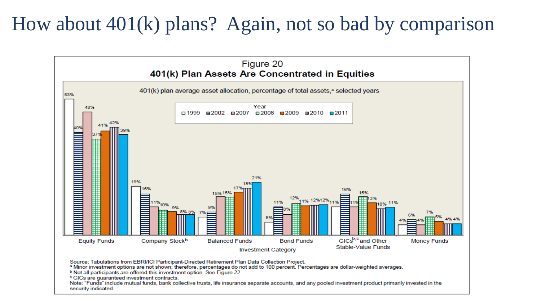## How about 401(k) plans? Again, not so bad by comparison



Note: "Funds" include mutual funds, bank collective trusts, life insurance separate accounts, and any pooled investment product primarily invested in the security indicated.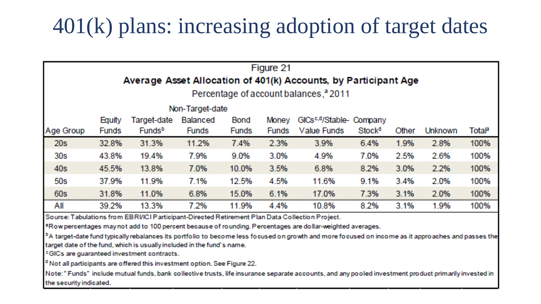# 401(k) plans: increasing adoption of target dates

| Figure 21<br>Average Asset Allocation of 401(k) Accounts, by Participant Age |              |                    |                 |              |              |                                      |                    |       |                |       |
|------------------------------------------------------------------------------|--------------|--------------------|-----------------|--------------|--------------|--------------------------------------|--------------------|-------|----------------|-------|
| Percentage of account balances, <sup>3</sup> 2011                            |              |                    |                 |              |              |                                      |                    |       |                |       |
| Non-Target-date                                                              |              |                    |                 |              |              |                                      |                    |       |                |       |
|                                                                              | Equity       | Target-date        | <b>Balanced</b> | Bond         | <b>Money</b> | GICs <sup>c,d</sup> /Stable- Company |                    |       |                |       |
| Age Group                                                                    | <b>Funds</b> | Funds <sup>b</sup> | <b>Funds</b>    | <b>Funds</b> | <b>Funds</b> | Value Funds                          | Stock <sup>d</sup> | Other | <b>Unknown</b> | Total |
| 20s                                                                          | 32.8%        | 31.3%              | 11.2%           | 7.4%         | 2.3%         | 3.9%                                 | 6.4%               | 1.9%  | 2.8%           | 100%  |
| <b>30s</b>                                                                   | 43.8%        | 19.4%              | 7.9%            | 9.0%         | 3.0%         | 4.9%                                 | 7.0%               | 2.5%  | 2.6%           | 100%  |
| <b>40s</b>                                                                   | 45.5%        | 13.8%              | 7.0%            | 10.0%        | 3.5%         | 6.8%                                 | 8.2%               | 3.0%  | 2.2%           | 100%  |
| <b>50s</b>                                                                   | 37.9%        | 11.9%              | 7.1%            | 12.5%        | 4.5%         | 11.6%                                | 9.1%               | 3.4%  | 2.0%           | 100%  |
| <b>60s</b>                                                                   | 31.8%        | 11.0%              | 6.8%            | 15.0%        | 6.1%         | 17.0%                                | 7.3%               | 3.1%  | 2.0%           | 100%  |
| All                                                                          | 39.2%        | 13.3%              | 7.2%            | 11.9%        | 4.4%         | 10.8%                                | 8.2%               | 3.1%  | 1.9%           | 100%  |

Source: Tabulations from EBRI/ICI Participant-Directed Retirement Plan Data Collection Project.

aRow percentages may not add to 100 percent because of rounding. Percentages are dollar-weighted averages.

<sup>b</sup>A target-date fund typically rebalances its portfolio to become less focused on growth and more focused on income as it approaches and passes the target date of the fund, which is usually included in the fund's name.

<sup>c</sup>GICs are guaranteed investment contracts.

<sup>d</sup> Not all participants are offered this investment option. See Figure 22.

Note: "Funds" include mutual funds, bank collective trusts, life insurance separate accounts, and any pooled investment product primarily invested in the security indicated.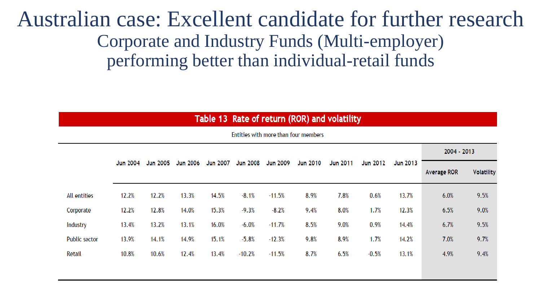## Australian case: Excellent candidate for further research Corporate and Industry Funds (Multi-employer) performing better than individual-retail funds

| Table 13 Rate of return (ROR) and volatility |  |  |  |
|----------------------------------------------|--|--|--|
|                                              |  |  |  |

|               | <b>Jun 2004</b> | <b>Jun 2005</b> | <b>Jun 2006</b> | <b>Jun 2007</b> | <b>Jun 2008</b> | <b>Jun 2009</b> | <b>Jun 2010</b> | <b>Jun 2011</b> | <b>Jun 2012</b> | Jun 2013 | 2004 - 2013        |                   |
|---------------|-----------------|-----------------|-----------------|-----------------|-----------------|-----------------|-----------------|-----------------|-----------------|----------|--------------------|-------------------|
|               |                 |                 |                 |                 |                 |                 |                 |                 |                 |          | <b>Average ROR</b> | <b>Volatility</b> |
| All entities  | 12.2%           | 12.2%           | 13.3%           | 14.5%           | $-8.1%$         | $-11.5%$        | 8.9%            | 7.8%            | 0.6%            | 13.7%    | 6.0%               | 9.5%              |
| Corporate     | 12.2%           | 12.8%           | 14.0%           | 15.3%           | $-9.3%$         | $-8.2%$         | 9.4%            | 8.0%            | 1.7%            | 12.3%    | 6.5%               | 9.0%              |
| Industry      | 13.4%           | 13.2%           | 13.1%           | 16.0%           | $-6.0%$         | $-11.7%$        | 8.5%            | 9.0%            | 0.9%            | 14.4%    | 6.7%               | 9.5%              |
| Public sector | 13.9%           | 14.1%           | 14.9%           | 15.1%           | $-5.8%$         | $-12.3%$        | 9.8%            | 8.9%            | 1.7%            | 14.2%    | 7.0%               | 9.7%              |
| Retail        | 10.8%           | 10.6%           | 12.4%           | 13.4%           | $-10.2%$        | $-11.5%$        | 8.7%            | 6.5%            | $-0.5%$         | 13.1%    | 4.9%               | 9.4%              |
|               |                 |                 |                 |                 |                 |                 |                 |                 |                 |          |                    |                   |

Entities with more than four members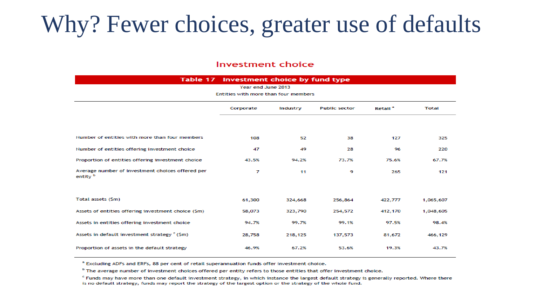# Why? Fewer choices, greater use of defaults

#### Investment choice

#### Table 17 Investment choice by fund type

| Year end June 2013                                           |           |          |                     |              |           |  |  |  |  |
|--------------------------------------------------------------|-----------|----------|---------------------|--------------|-----------|--|--|--|--|
| Entities with more than four members                         |           |          |                     |              |           |  |  |  |  |
|                                                              | Corporate | Industry | Retail <sup>a</sup> | <b>Total</b> |           |  |  |  |  |
|                                                              |           |          |                     |              |           |  |  |  |  |
| Number of entities with more than four members               | 108       | 52       | 38                  | 127          | 325       |  |  |  |  |
| Number of entities offering investment choice                | 47        | 49       | 28                  | 96           | 220       |  |  |  |  |
| Proportion of entities offering investment choice            | 43.5%     | 94.2%    | 73.7%               | 75.6%        | 67.7%     |  |  |  |  |
| Average number of investment choices offered per<br>entity b | 7         | 11       | 9                   | 265          | 121       |  |  |  |  |
|                                                              |           |          |                     |              |           |  |  |  |  |
| Total assets (\$m)                                           | 61,300    | 324,668  | 256,864             | 422,777      | 1,065,607 |  |  |  |  |
| Assets of entities offering investment choice (\$m)          | 58,073    | 323,790  | 254,572             | 412,170      | 1,048,605 |  |  |  |  |
| Assets in entities offering investment choice                | 94.7%     | 99.7%    | 99.1%               | 97.5%        | 98.4%     |  |  |  |  |
| Assets in default investment strategy <sup>c</sup> (\$m)     | 28,758    | 218,125  | 137,573             | 81,672       | 466,129   |  |  |  |  |
| Proportion of assets in the default strategy                 | 46.9%     | 67.2%    | 53.6%               | 19.3%        | 43.7%     |  |  |  |  |

<sup>a</sup> Excluding ADFs and ERFs, 88 per cent of retail superannuation funds offer investment choice.

<sup>b</sup> The average number of investment choices offered per entity refers to those entities that offer investment choice.

<sup>c</sup> Funds may have more than one default investment strategy, in which instance the largest default strategy is generally reported. Where there is no default strategy, funds may report the strategy of the largest option or the strategy of the whole fund.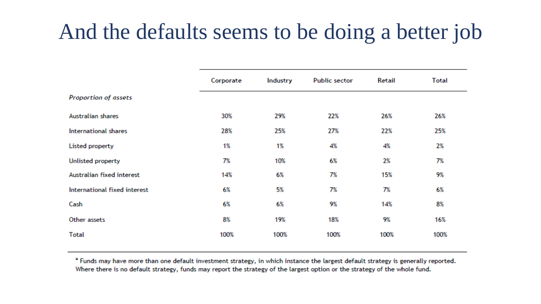# And the defaults seems to be doing a better job

|                              | Corporate | Industry | <b>Public sector</b> | Retail | <b>Total</b> |
|------------------------------|-----------|----------|----------------------|--------|--------------|
| Proportion of assets         |           |          |                      |        |              |
| <b>Australian shares</b>     | 30%       | 29%      | 22%                  | 26%    | 26%          |
| <b>International shares</b>  | 28%       | 25%      | 27%                  | 22%    | 25%          |
| Listed property              | 1%        | 1%       | 4%                   | 4%     | 2%           |
| Unlisted property            | 7%        | 10%      | 6%                   | 2%     | 7%           |
| Australian fixed interest    | 14%       | 6%       | 7%                   | 15%    | 9%           |
| International fixed interest | 6%        | 5%       | 7%                   | 7%     | 6%           |
| Cash                         | 6%        | 6%       | 9%                   | 14%    | 8%           |
| Other assets                 | 8%        | 19%      | 18%                  | 9%     | 16%          |
| <b>Total</b>                 | 100%      | 100%     | 100%                 | 100%   | 100%         |

<sup>a</sup> Funds may have more than one default investment strategy, in which instance the largest default strategy is generally reported. Where there is no default strategy, funds may report the strategy of the largest option or the strategy of the whole fund.